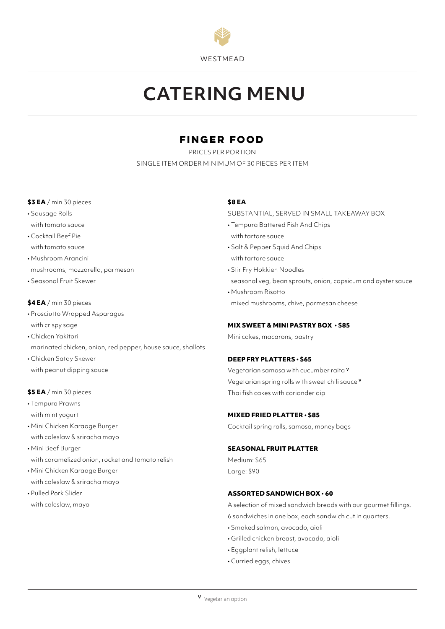

# **CATERING MENU**

## **Finger food**

PRICES PER PORTION SINGLE ITEM ORDER MINIMUM OF 30 PIECES PER ITEM

#### **\$3 EA** / min 30 pieces

- Sausage Rolls with tomato sauce
- Cocktail Beef Pie with tomato sauce
- Mushroom Arancini mushrooms, mozzarella, parmesan
- Seasonal Fruit Skewer

## **\$4 EA** / min 30 pieces

- Prosciutto Wrapped Asparagus with crispy sage
- Chicken Yakitori
- marinated chicken, onion, red pepper, house sauce, shallots
- Chicken Satay Skewer with peanut dipping sauce

## **\$5 EA** / min 30 pieces

- Tempura Prawns with mint yogurt
- Mini Chicken Karaage Burger with coleslaw & sriracha mayo
- Mini Beef Burger with caramelized onion, rocket and tomato relish
- Mini Chicken Karaage Burger with coleslaw & sriracha mayo
- Pulled Pork Slider with coleslaw, mayo

## **\$8 EA**

SUBSTANTIAL, SERVED IN SMALL TAKEAWAY BOX

- Tempura Battered Fish And Chips with tartare sauce
- Salt & Pepper Squid And Chips with tartare sauce
- Stir Fry Hokkien Noodles seasonal veg, bean sprouts, onion, capsicum and oyster sauce
- Mushroom Risotto mixed mushrooms, chive, parmesan cheese

## **MIX SWEET & MINI PASTRY BOX • \$85**

# Mini cakes, macarons, pastry

## **DEEP FRY PLATTERS • \$65**

Vegetarian samosa with cucumber raita **<sup>V</sup>** Vegetarian spring rolls with sweet chili sauce **<sup>V</sup>** Thai fish cakes with coriander dip

#### **MIXED FRIED PLATTER • \$85**

Cocktail spring rolls, samosa, money bags

#### **SEASONAL FRUIT PLATTER**

Medium: \$65 Large: \$90

#### **ASSORTED SANDWICH BOX • 60**

A selection of mixed sandwich breads with our gourmet fillings. 6 sandwiches in one box, each sandwich cut in quarters.

- Smoked salmon, avocado, aioli
- Grilled chicken breast, avocado, aioli
- Eggplant relish, lettuce
- Curried eggs, chives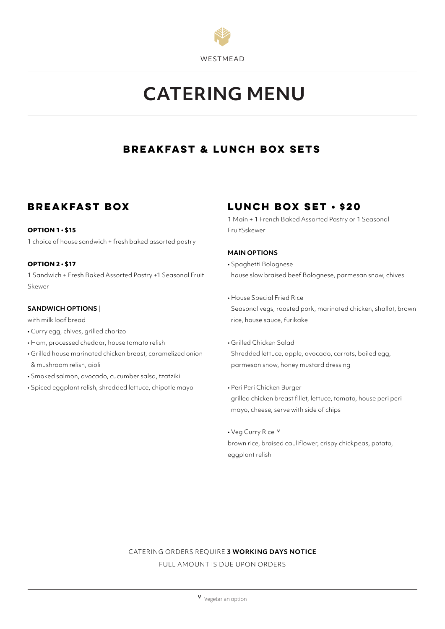

# **CATERING MENU**

## **Breakfast & Lunch Box Sets**

## **Breakfast box**

#### **OPTION 1 • \$15**

1 choice of house sandwich + fresh baked assorted pastry

#### **OPTION 2 • \$17**

1 Sandwich + Fresh Baked Assorted Pastry +1 Seasonal Fruit Skewer

#### **SANDWICH OPTIONS** |

with milk loaf bread

- Curry egg, chives, grilled chorizo
- Ham, processed cheddar, house tomato relish
- Grilled house marinated chicken breast, caramelized onion & mushroom relish, aioli
- Smoked salmon, avocado, cucumber salsa, tzatziki
- Spiced eggplant relish, shredded lettuce, chipotle mayo

# **Lunch box set • \$20**

1 Main + 1 French Baked Assorted Pastry or 1 Seasonal FruitSskewer

## **MAIN OPTIONS** |

- Spaghetti Bolognese house slow braised beef Bolognese, parmesan snow, chives
- House Special Fried Rice Seasonal vegs, roasted pork, marinated chicken, shallot, brown rice, house sauce, furikake
- Grilled Chicken Salad Shredded lettuce, apple, avocado, carrots, boiled egg, parmesan snow, honey mustard dressing
- Peri Peri Chicken Burger grilled chicken breast fillet, lettuce, tomato, house peri peri mayo, cheese, serve with side of chips
- Veg Curry Rice **<sup>V</sup>** brown rice, braised cauliflower, crispy chickpeas, potato, eggplant relish

# CATERING ORDERS REQUIRE **3 WORKING DAYS NOTICE**

FULL AMOUNT IS DUE UPON ORDERS